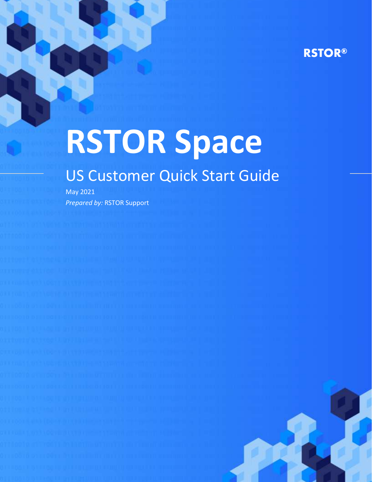# **RSTOR®**

# **RSTOR Space**

# US Customer Quick Start Guide

May 2021 *Prepared by:* RSTOR Support

rstor.io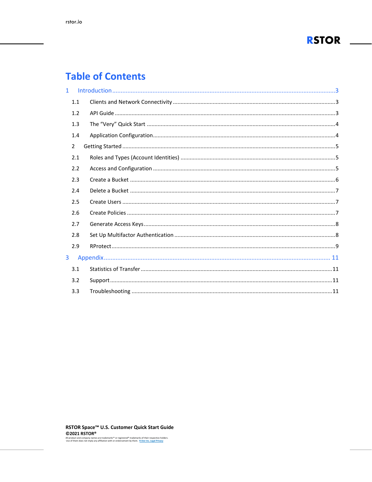

# **Table of Contents**

| $\mathbf{1}$ |               |  |
|--------------|---------------|--|
|              | 1.1           |  |
|              | 1.2           |  |
|              | 1.3           |  |
|              | 1.4           |  |
|              | $\mathcal{P}$ |  |
|              | 2.1           |  |
|              | 2.2           |  |
|              | 2.3           |  |
|              | 2.4           |  |
|              | 2.5           |  |
|              | 2.6           |  |
|              | 2.7           |  |
|              | 2.8           |  |
|              | 2.9           |  |
| 3            |               |  |
|              | 3.1           |  |
|              | 3.2           |  |
|              | 3.3           |  |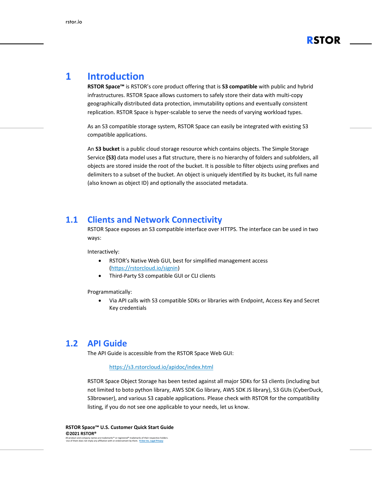

# <span id="page-2-0"></span>**1 Introduction**

**RSTOR Space™** is RSTOR's core product offering that is **S3 compatible** with public and hybrid infrastructures. RSTOR Space allows customers to safely store their data with multi-copy geographically distributed data protection, immutability options and eventually consistent replication. RSTOR Space is hyper-scalable to serve the needs of varying workload types.

As an S3 compatible storage system, RSTOR Space can easily be integrated with existing S3 compatible applications.

An **S3 bucket** is a public cloud storage resource which contains objects. The Simple Storage Service **(S3)** data model uses a flat structure, there is no hierarchy of folders and subfolders, all objects are stored inside the root of the bucket. It is possible to filter objects using prefixes and delimiters to a subset of the bucket. An object is uniquely identified by its bucket, its full name (also known as object ID) and optionally the associated metadata.

#### <span id="page-2-1"></span>**1.1 Clients and Network Connectivity**

RSTOR Space exposes an S3 compatible interface over HTTPS. The interface can be used in two ways:

Interactively:

- RSTOR's Native Web GUI, best for simplified management access [\(https://rstorcloud.io/signin\)](https://rstorcloud.io/signin)
- Third-Party S3 compatible GUI or CLI clients

Programmatically:

• Via API calls with S3 compatible SDKs or libraries with Endpoint, Access Key and Secret Key credentials

#### <span id="page-2-2"></span>**1.2 API Guide**

The API Guide is accessible from the RSTOR Space Web GUI:

#### <https://s3.rstorcloud.io/apidoc/index.html>

RSTOR Space Object Storage has been tested against all major SDKs for S3 clients (including but not limited to boto python library, AWS SDK Go library, AWS SDK JS library), S3 GUIs (CyberDuck, S3browser), and various S3 capable applications. Please check with RSTOR for the compatibility listing, if you do not see one applicable to your needs, let us know.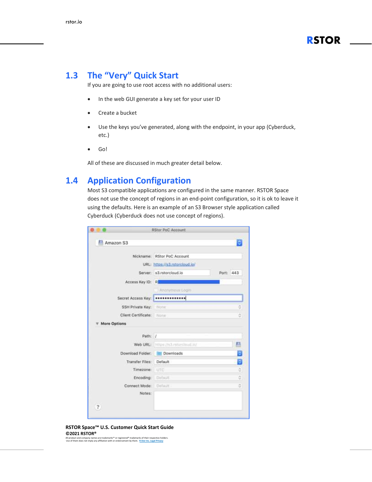

### <span id="page-3-0"></span>**1.3 The "Very" Quick Start**

If you are going to use root access with no additional users:

- In the web GUI generate a key set for your user ID
- Create a bucket
- Use the keys you've generated, along with the endpoint, in your app (Cyberduck, etc.)
- Go!

All of these are discussed in much greater detail below.

#### <span id="page-3-1"></span>**1.4 Application Configuration**

Most S3 compatible applications are configured in the same manner. RSTOR Space does not use the concept of regions in an end-point configuration, so it is ok to leave it using the defaults. Here is an example of an S3 Browser style application called Cyberduck (Cyberduck does not use concept of regions).

|                          | <b>RStor PoC Account</b>           |           |
|--------------------------|------------------------------------|-----------|
| Amazon S3                |                                    |           |
|                          | Nickname: RStor PoC Account        |           |
|                          | URL: https://s3.rstorcloud.jo/     |           |
|                          | Server: s3.rstorcloud.io           | Port: 443 |
| Access Key ID: R         |                                    |           |
|                          | Ananymous Login                    |           |
| Secret Access Key        | *************                      |           |
| SSH Private Key:         | hibtie                             | ą         |
| Client Certificate: None |                                    | õ         |
| More Options             |                                    |           |
| Path: /                  |                                    |           |
|                          | Web URL: https://s3.rstorcloud.in/ |           |
| Download Folder:         | <b>Downloads</b>                   |           |
| Transfer Files:          | Default                            | Θ         |
| Timezone:                | UTC                                | ö         |
| Encoding:                | <b>Clefault</b>                    | ġ         |
| Connect Mode:            | Definit.                           | Ğ         |
| Notes:                   |                                    |           |
| 3                        |                                    |           |
|                          |                                    |           |

#### **RSTOR Space™ U.S. Customer Quick Start Guide ©2021 RSTOR®**

All product and company names are trademarks™ or registered® trademarks of their respective holders. Use of them does not imply any affiliation with or endorsement by them. **[R-Stor Inc. Legal Privacy](https://www.rstor.io/legal-privacy/)**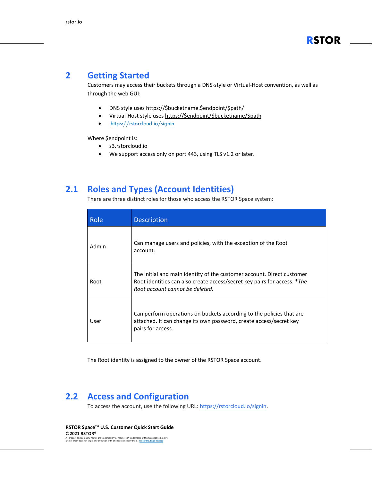#### <span id="page-4-0"></span>**2 Getting Started**

Customers may access their buckets through a DNS-style or Virtual-Host convention, as well as through the web GUI:

- DNS style uses https://\$bucketname.\$endpoint/\$path/
- Virtual-Host style uses [https://\\$endpoint/\\$bucketname/\\$path](https://$endpoint/$bucketname/$path)
- <https://rstorcloud.io/signin>

Where \$endpoint is:

- s3.rstorcloud.io
- We support access only on port 443, using TLS v1.2 or later.

#### <span id="page-4-1"></span>**2.1 Roles and Types (Account Identities)**

There are three distinct roles for those who access the RSTOR Space system:

| Role  | Description                                                                                                                                                                           |
|-------|---------------------------------------------------------------------------------------------------------------------------------------------------------------------------------------|
| Admin | Can manage users and policies, with the exception of the Root<br>account.                                                                                                             |
| Root  | The initial and main identity of the customer account. Direct customer<br>Root identities can also create access/secret key pairs for access. *The<br>Root account cannot be deleted. |
| User  | Can perform operations on buckets according to the policies that are<br>attached. It can change its own password, create access/secret key<br>pairs for access.                       |

The Root identity is assigned to the owner of the RSTOR Space account.

#### <span id="page-4-2"></span>**2.2 Access and Configuration**

To access the account, use the following URL: [https://rstorcloud.io/signin.](https://rstorcloud.io/signin)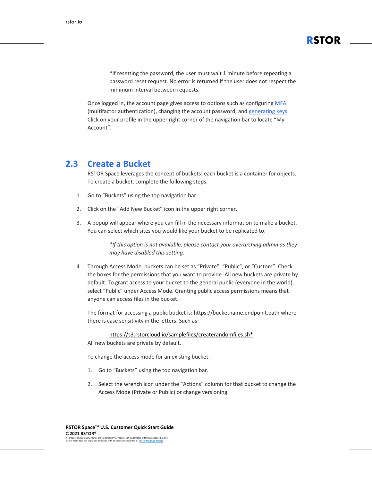\*If resetting the password, the user must wait 1 minute before repeating a password reset request. No error is returned if the user does not respect the minimum interval between requests.

**RSTOR**

Once logged in, the account page gives access to options such as configuring [MFA](#page-7-2) (multifactor [authentication\),](#page-7-2) changing the account password, and [generating](#page-7-0) keys. Click on your profile in the upper right corner of the navigation bar to locate "My Account".

#### <span id="page-5-0"></span>**2.3 Create a Bucket**

RSTOR Space leverages the concept of buckets: each bucket is a container for objects. To create a bucket, complete the following steps.

- 1. Go to "Buckets" using the top navigation bar.
- 2. Click on the "Add New Bucket" icon in the upper right corner.
- 3. A popup will appear where you can fill in the necessary information to make a bucket. You can select which sites you would like your bucket to be replicated to.

*\*If this option is not available, please contact your overarching admin as they may have disabled this setting.*

4. Through Access Mode, buckets can be set as "Private", "Public", or "Custom". Check the boxes for the permissions that you want to provide. All new buckets are private by default. To grant access to your bucket to the general public (everyone in the world), select "Public" under Access Mode. Granting public access permissions means that anyone can access files in the bucket.

The format for accessing a public bucket is: https://bucketname.endpoint.path where there is case sensitivity in the letters. Such as:

[https://s3.rstorcloud.io/samplefiles/createrandomfiles.sh\\*](https://s3.rstorcloud.io/samplefiles/createrandomfiles.sh)

All new buckets are private by default.

To change the access mode for an existing bucket:

- 1. Go to "Buckets" using the top navigation bar.
- 2. Select the wrench icon under the "Actions" column for that bucket to change the Access Mode (Private or Public) or change versioning.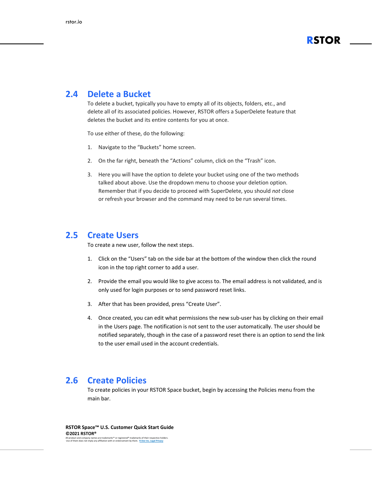

#### <span id="page-6-0"></span>**2.4 Delete a Bucket**

To delete a bucket, typically you have to empty all of its objects, folders, etc., and delete all of its associated policies. However, RSTOR offers a SuperDelete feature that deletes the bucket and its entire contents for you at once.

To use either of these, do the following:

- 1. Navigate to the "Buckets" home screen.
- 2. On the far right, beneath the "Actions" column, click on the "Trash" icon.
- 3. Here you will have the option to delete your bucket using one of the two methods talked about above. Use the dropdown menu to choose your deletion option. Remember that if you decide to proceed with SuperDelete, you should *not* close or refresh your browser and the command may need to be run several times.

#### <span id="page-6-1"></span>**2.5 Create Users**

To create a new user, follow the next steps.

- 1. Click on the "Users" tab on the side bar at the bottom of the window then click the round icon in the top right corner to add a user.
- 2. Provide the email you would like to give access to. The email address is not validated, and is only used for login purposes or to send password reset links.
- 3. After that has been provided, press "Create User".
- 4. Once created, you can edit what permissions the new sub-user has by clicking on their email in the Users page. The notification is not sent to the user automatically. The user should be notified separately, though in the case of a password reset there is an option to send the link to the user email used in the account credentials.

#### <span id="page-6-2"></span>**2.6 Create Policies**

To create policies in your RSTOR Space bucket, begin by accessing the Policies menu from the main bar.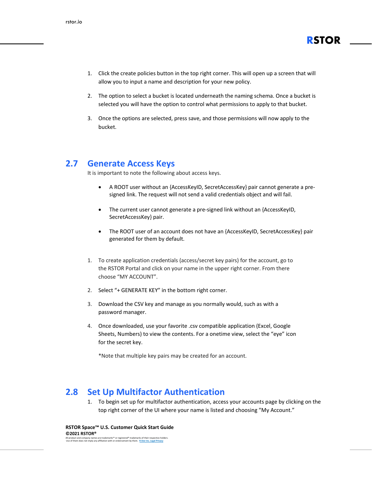

- 1. Click the create policies button in the top right corner. This will open up a screen that will allow you to input a name and description for your new policy.
- 2. The option to select a bucket is located underneath the naming schema. Once a bucket is selected you will have the option to control what permissions to apply to that bucket.
- 3. Once the options are selected, press save, and those permissions will now apply to the bucket.

#### <span id="page-7-0"></span>**2.7 Generate Access Keys**

It is important to note the following about access keys.

- A ROOT user without an {AccessKeyID, SecretAccessKey} pair cannot generate a presigned link. The request will not send a valid credentials object and will fail.
- The current user cannot generate a pre-signed link without an {AccessKeyID, SecretAccessKey} pair.
- The ROOT user of an account does not have an {AccessKeyID, SecretAccessKey} pair generated for them by default.
- 1. To create application credentials (access/secret key pairs) for the account, go to the RSTOR Portal and click on your name in the upper right corner. From there choose "MY ACCOUNT".
- 2. Select "+ GENERATE KEY" in the bottom right corner.
- 3. Download the CSV key and manage as you normally would, such as with a password manager.
- 4. Once downloaded, use your favorite .csv compatible application (Excel, Google Sheets, Numbers) to view the contents. For a onetime view, select the "eye" icon for the secret key.

\*Note that multiple key pairs may be created for an account.

#### <span id="page-7-1"></span>**2.8 Set Up Multifactor Authentication**

<span id="page-7-2"></span>1. To begin set up for multifactor authentication, access your accounts page by clicking on the top right corner of the UI where your name is listed and choosing "My Account."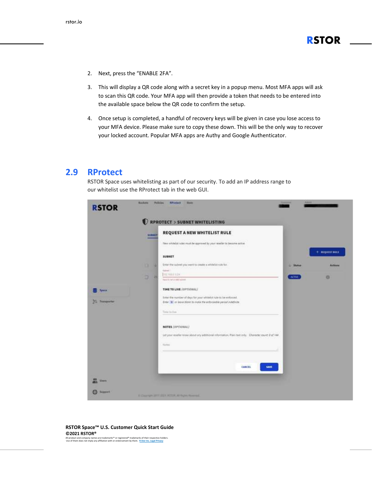- 2. Next, press the "ENABLE 2FA".
- 3. This will display a QR code along with a secret key in a popup menu. Most MFA apps will ask to scan this QR code. Your MFA app will then provide a token that needs to be entered into the available space below the QR code to confirm the setup.
- 4. Once setup is completed, a handful of recovery keys will be given in case you lose access to your MFA device. Please make sure to copy these down. This will be the only way to recover your locked account. Popular MFA apps are Authy and Google Authenticator.

#### <span id="page-8-0"></span>**2.9 RProtect**

RSTOR Space uses whitelisting as part of our security. To add an IP address range to our whitelist use the RProtect tab in the web GUI.

|                                 |               | RPROTECT > SUBNET WHITELISTING<br>REQUEST A NEW WHITELIST RULE                                           |               |                         |
|---------------------------------|---------------|----------------------------------------------------------------------------------------------------------|---------------|-------------------------|
|                                 | <b>SUBSET</b> | New whitelist rules must be expressed by your resulter to become active                                  |               |                         |
|                                 |               | <b>Long and Contract</b>                                                                                 |               | $+$ <b>NEQUEST NULL</b> |
|                                 |               | SUBNET                                                                                                   |               |                         |
|                                 | o<br>u        | <b>San United States Contact</b><br>Enter the subret you want to create a whitefail rule for             | Shirtun<br>٠  | <b>Actions</b>          |
|                                 |               | <b>Report</b><br>TELTIBILVIN                                                                             |               |                         |
|                                 | ø<br>и        | Paper is not a call a down                                                                               | <b>ACTIVE</b> | a                       |
| <b>System</b>                   |               | TIME TO LIVE (OPTIONAL)                                                                                  |               |                         |
|                                 |               | Enter the number of days for your whitelist nile to be enforced.                                         |               |                         |
| <b><i><u>Banquetter</u></i></b> |               | Einer (#) or leave highs to india the enforceable period indefinite:<br>na um                            |               |                         |
|                                 |               | Time to the                                                                                              |               |                         |
|                                 |               | NOTES (OPTIONAL)                                                                                         |               |                         |
|                                 |               | 3300<br>Let your reseler know About any additional information. Plan text only. Chenceler count 0 of 144 |               |                         |
|                                 |               | <u> 1949 - An American Maria Anna Maria A</u><br>Norm                                                    |               |                         |
|                                 |               |                                                                                                          |               |                         |
|                                 |               | CANCEL<br><b>SAVE</b>                                                                                    |               |                         |
| <b>Usars</b>                    |               |                                                                                                          |               |                         |

#### **RSTOR Space™ U.S. Customer Quick Start Guide ©2021 RSTOR®**

All product and company names are trademarks™ or registered® trademarks of their respective holders. Use of them does not imply any affiliation with or endorsement by them. **[R-Stor Inc. Legal Privacy](https://www.rstor.io/legal-privacy/)**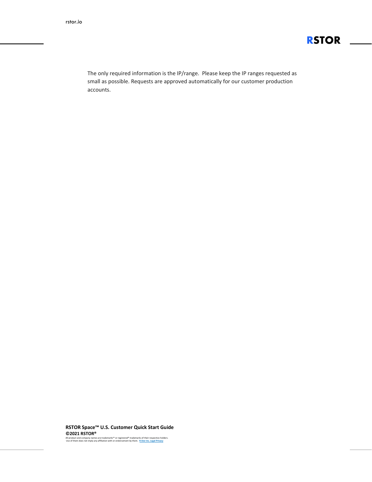

The only required information is the IP/range. Please keep the IP ranges requested as small as possible. Requests are approved automatically for our customer production accounts.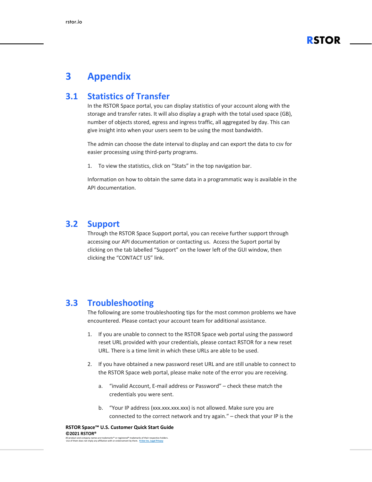

## <span id="page-10-0"></span>**3 Appendix**

#### <span id="page-10-1"></span>**3.1 Statistics of Transfer**

In the RSTOR Space portal, you can display statistics of your account along with the storage and transfer rates. It will also display a graph with the total used space (GB), number of objects stored, egress and ingress traffic, all aggregated by day. This can give insight into when your users seem to be using the most bandwidth.

The admin can choose the date interval to display and can export the data to csv for easier processing using third-party programs.

1. To view the statistics, click on "Stats" in the top navigation bar.

Information on how to obtain the same data in a programmatic way is available in the API documentation.

#### <span id="page-10-2"></span>**3.2 Support**

Through the RSTOR Space Support portal, you can receive further support through accessing our API documentation or contacting us. Access the Suport portal by clicking on the tab labelled "Support" on the lower left of the GUI window, then clicking the "CONTACT US" link.

#### <span id="page-10-3"></span>**3.3 Troubleshooting**

The following are some troubleshooting tips for the most common problems we have encountered. Please contact your account team for additional assistance.

- 1. If you are unable to connect to the RSTOR Space web portal using the password reset URL provided with your credentials, please contact RSTOR for a new reset URL. There is a time limit in which these URLs are able to be used.
- 2. If you have obtained a new password reset URL and are still unable to connect to the RSTOR Space web portal, please make note of the error you are receiving.
	- a. "invalid Account, E-mail address or Password" check these match the credentials you were sent.
	- b. "Your IP address (xxx.xxx.xxx.xxx) is not allowed. Make sure you are connected to the correct network and try again." – check that your IP is the